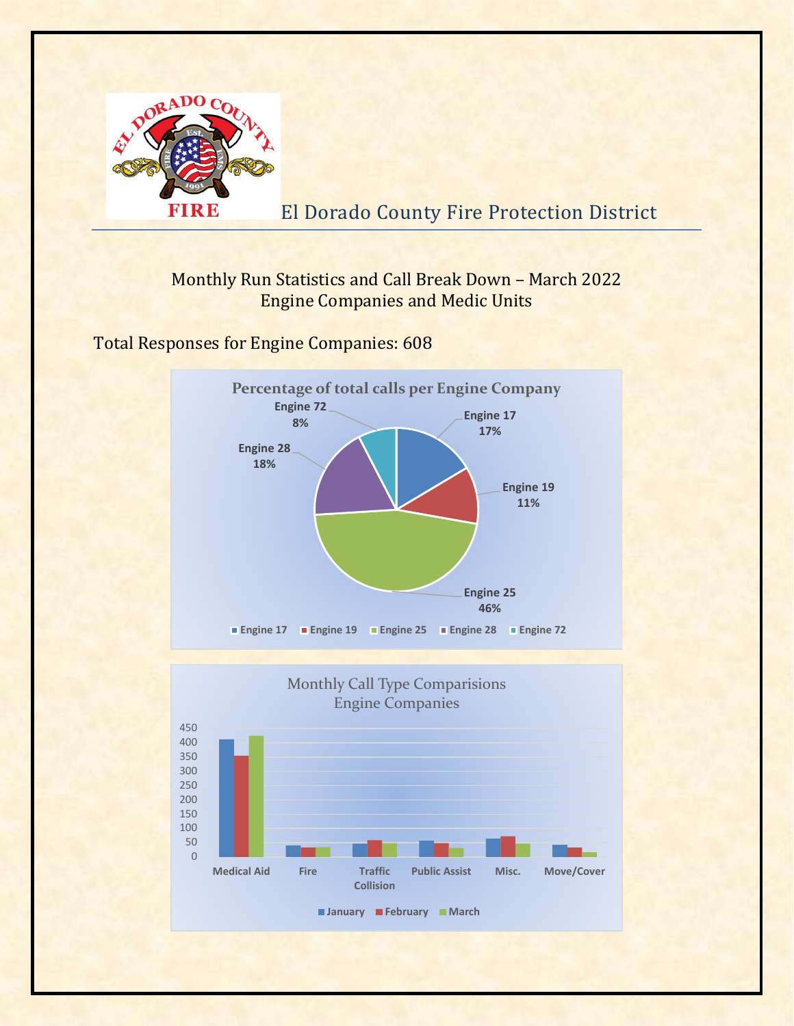

FIRE El Dorado County Fire Protection District

## Monthly Run Statistics and Call Break Down – March 2022 Engine Companies and Medic Units

Total Responses for Engine Companies: 608



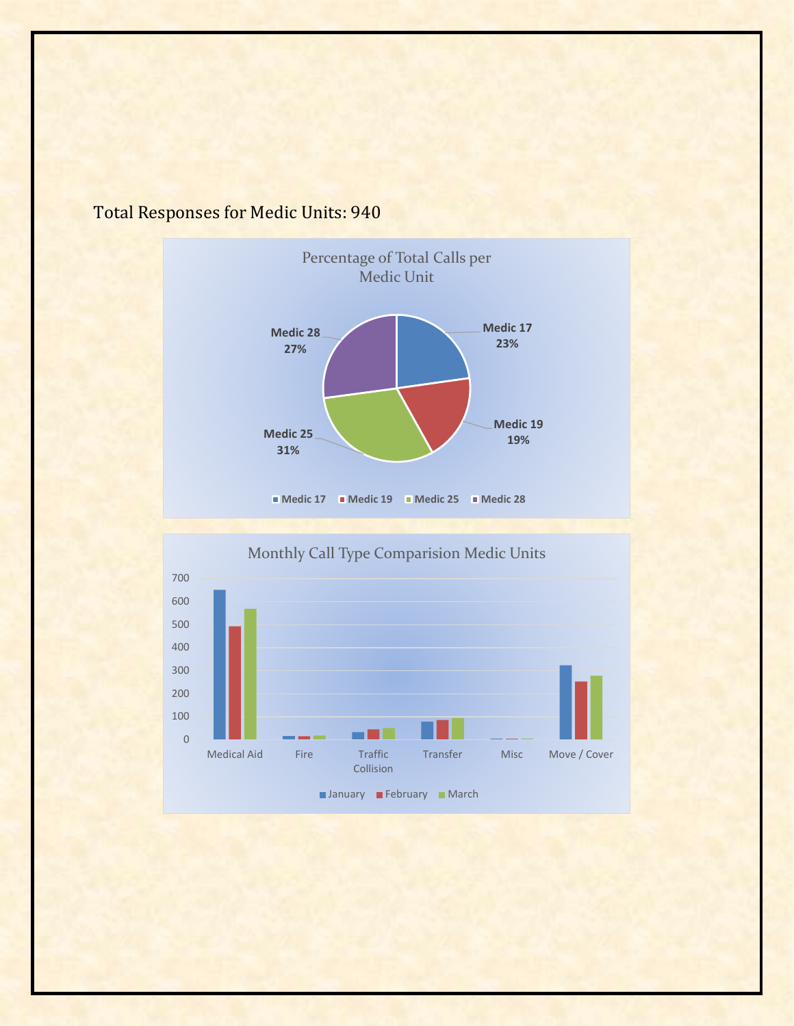

# Total Responses for Medic Units: 940

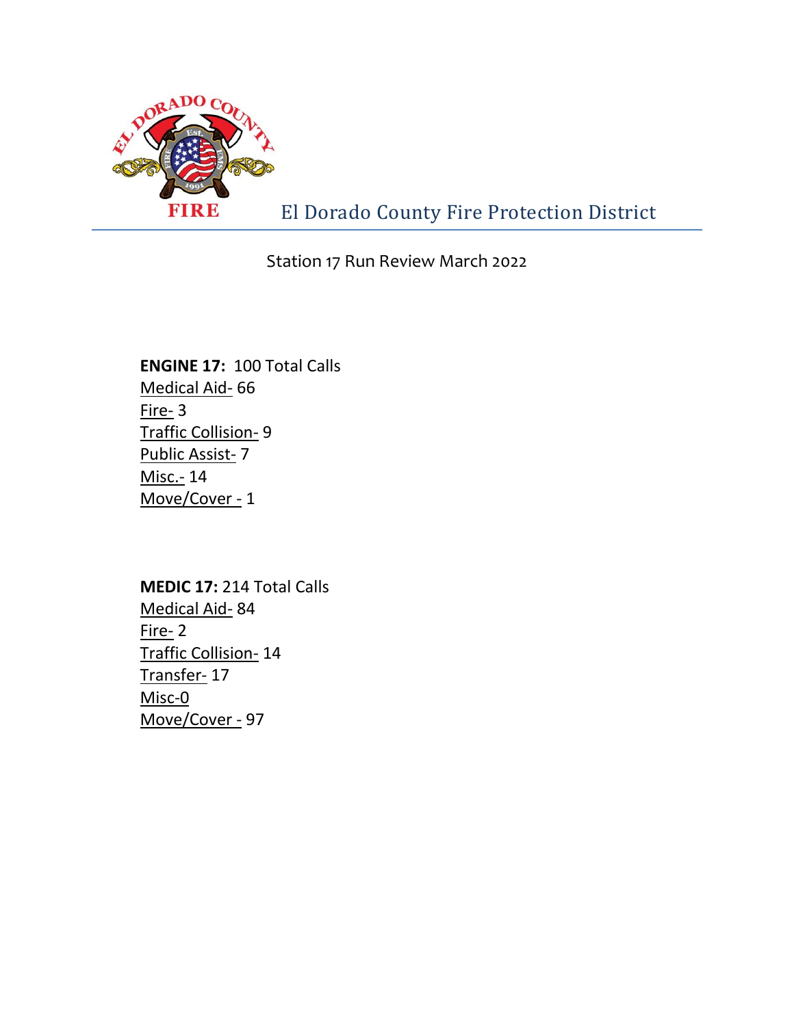

El Dorado County Fire Protection District

### Station 17 Run Review March 2022

## **ENGINE 17:** 100 Total Calls Medical Aid- 66 Fire- 3 Traffic Collision- 9 Public Assist- 7 Misc.- 14 Move/Cover - 1

**MEDIC 17:** 214 Total Calls Medical Aid- 84 Fire- 2 Traffic Collision- 14 Transfer- 17 Misc-0 Move/Cover - 97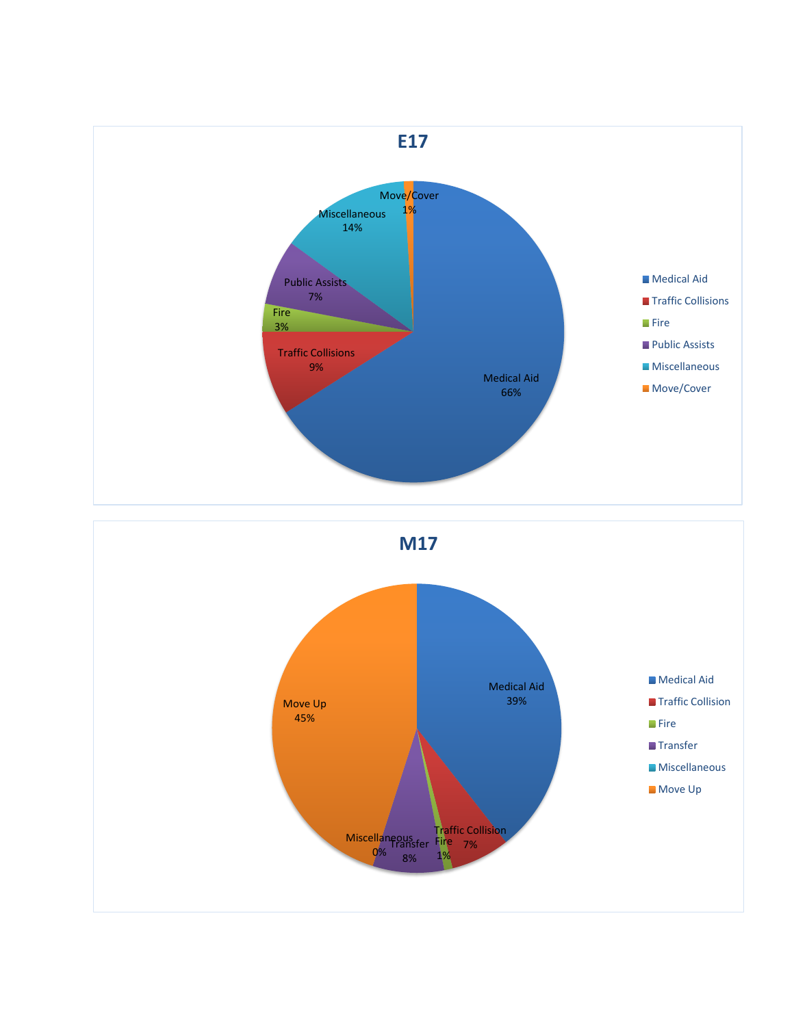

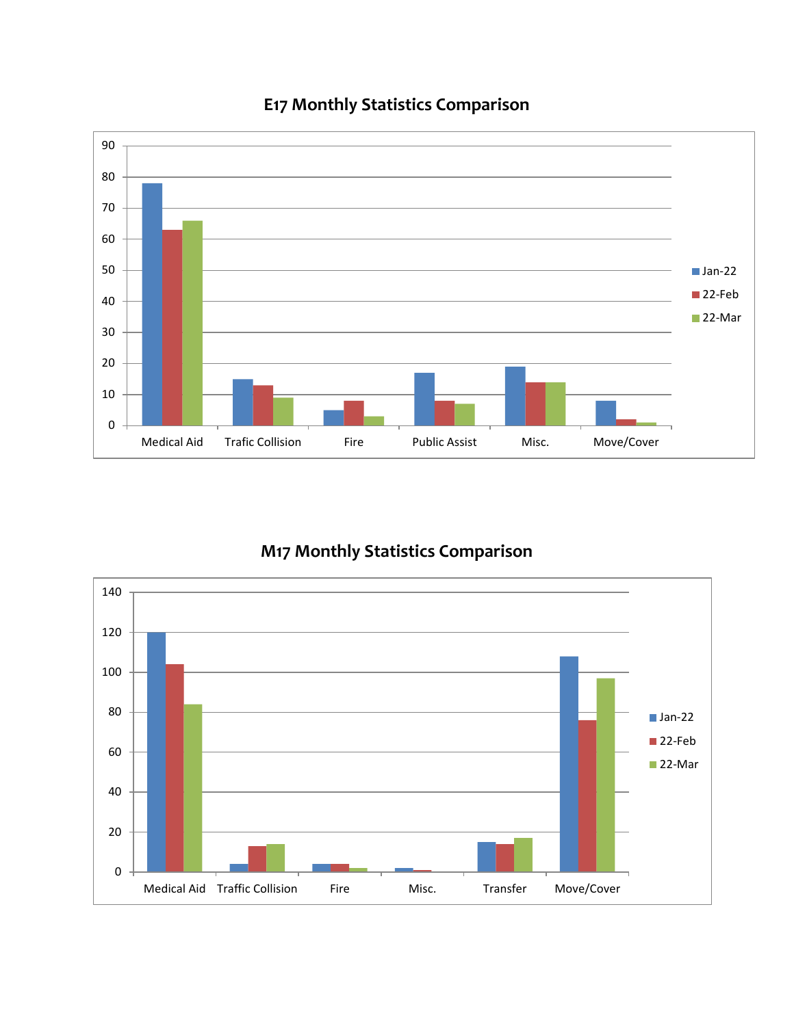

# **E17 Monthly Statistics Comparison**

# **M17 Monthly Statistics Comparison**

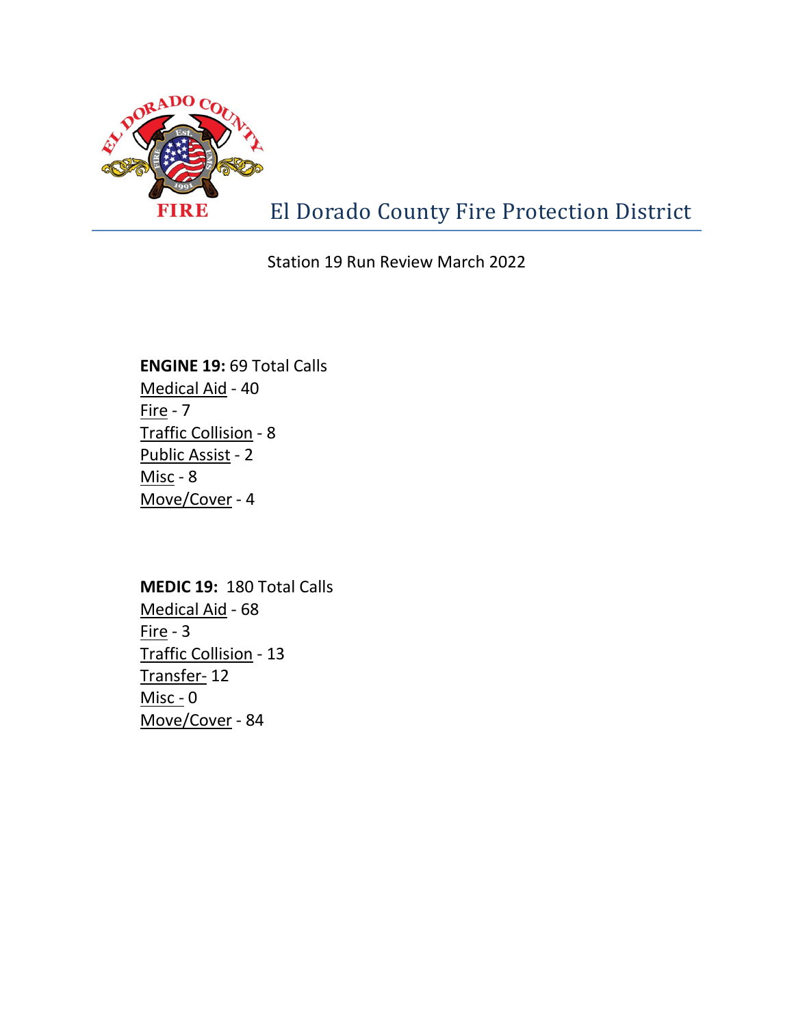

Station 19 Run Review March 2022

**ENGINE 19:** 69 Total Calls Medical Aid - 40 Fire -  $7$ Traffic Collision - 8 Public Assist - 2 Misc - 8 Move/Cover - 4

**MEDIC 19:** 180 Total Calls Medical Aid - 68  $Fire - 3$ Traffic Collision - 13 Transfer- 12 Misc - 0 Move/Cover - 84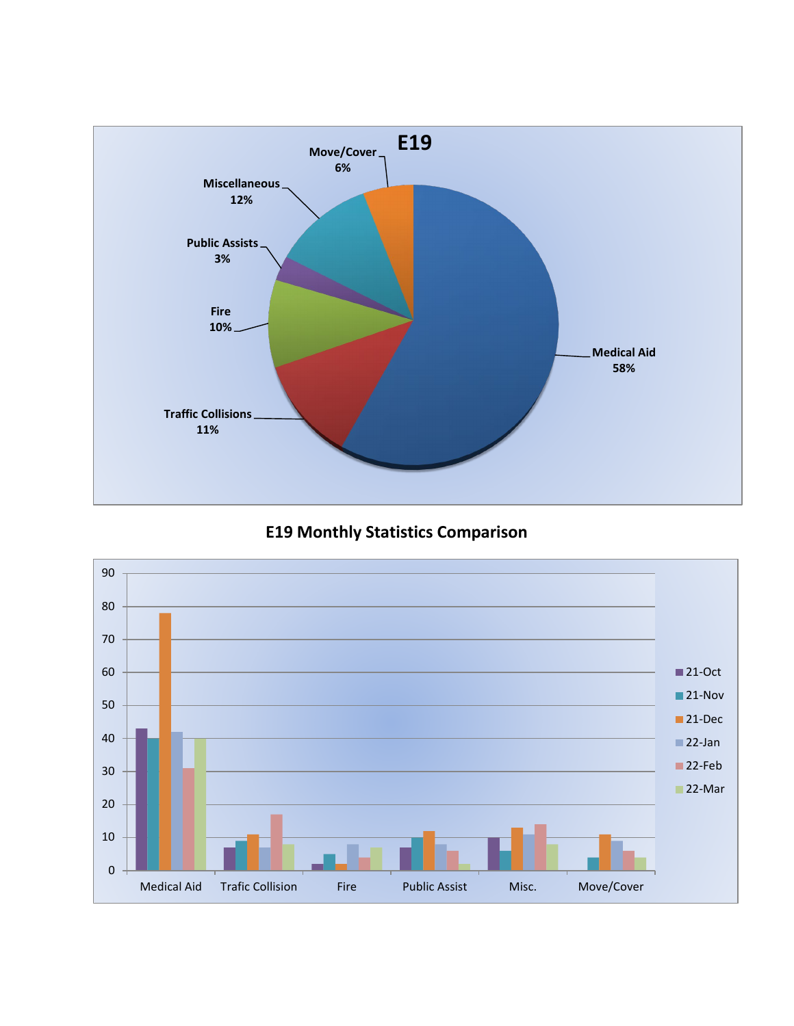

**E19 Monthly Statistics Comparison**

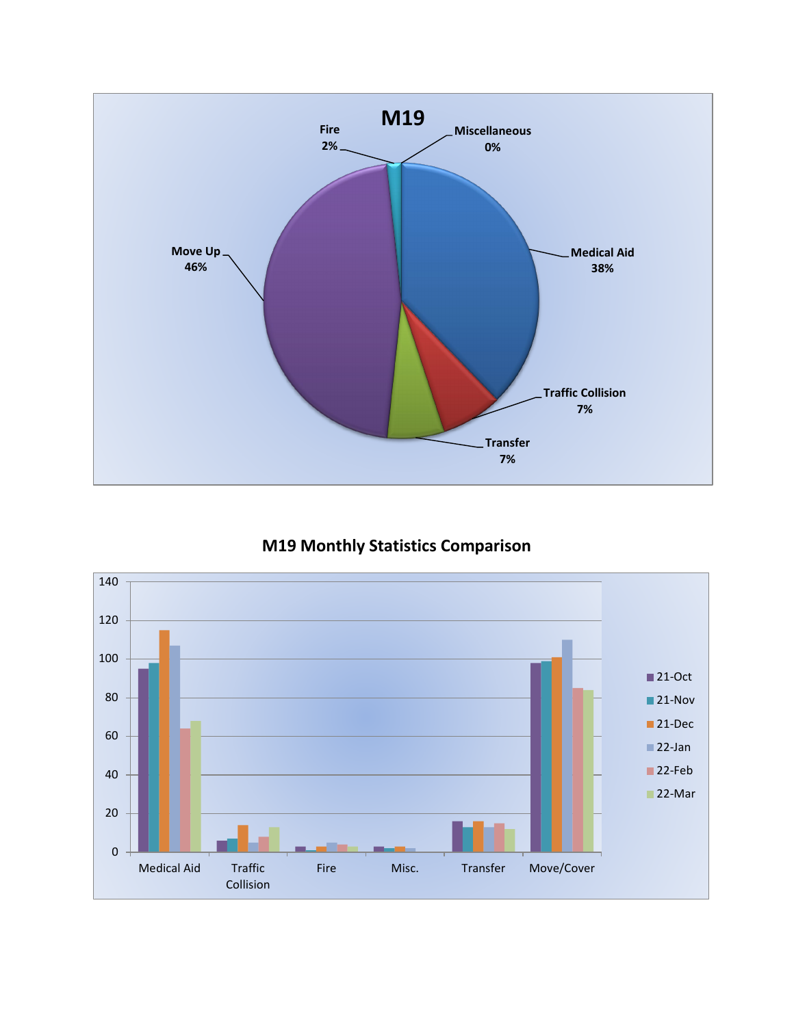

### **M19 Monthly Statistics Comparison**

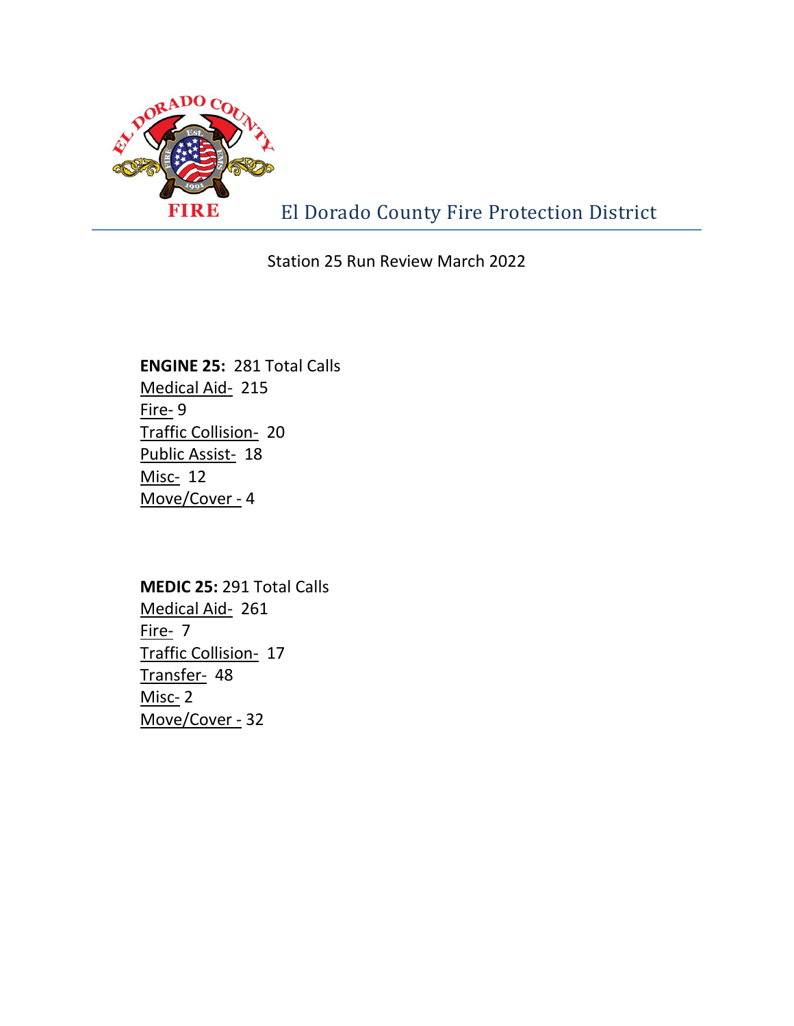

FIRE El Dorado County Fire Protection District

Station 25 Run Review March 2022

**ENGINE 25:** 281 Total Calls Medical Aid- 215 Fire- 9 Traffic Collision- 20 Public Assist- 18 Misc- 12 Move/Cover - 4

**MEDIC 25:** 291 Total Calls Medical Aid- 261 Fire- 7 Traffic Collision- 17 Transfer- 48 Misc- 2 Move/Cover - 32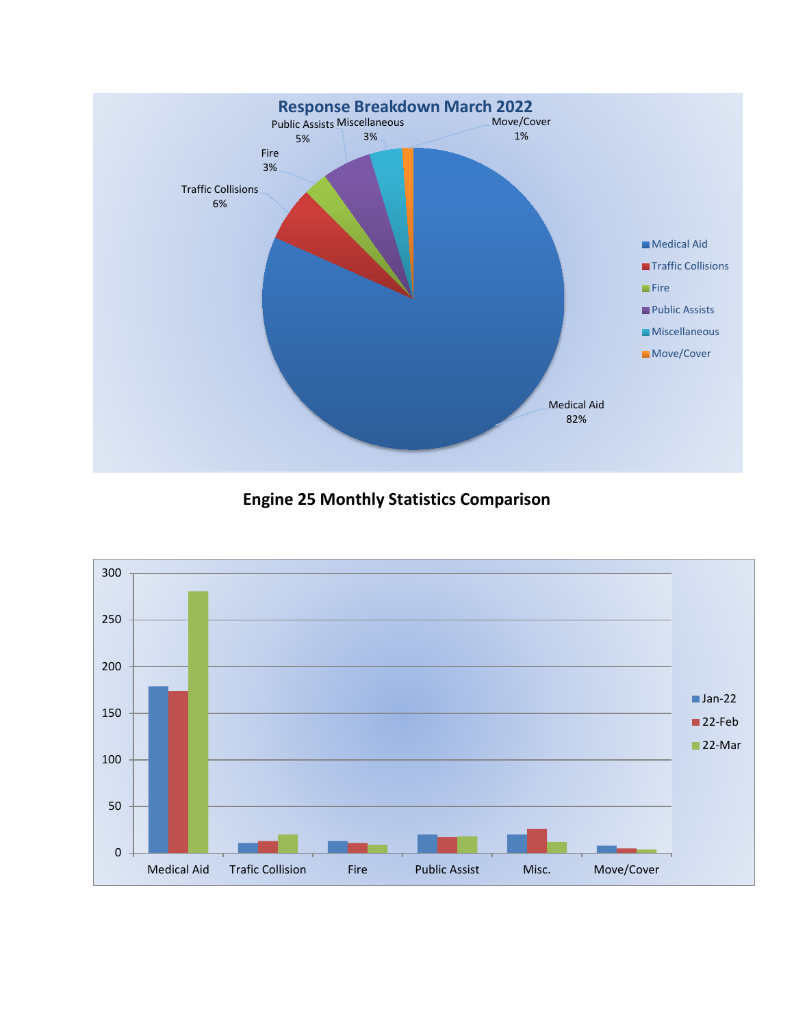

**Engine 25 Monthly Statistics Comparison**

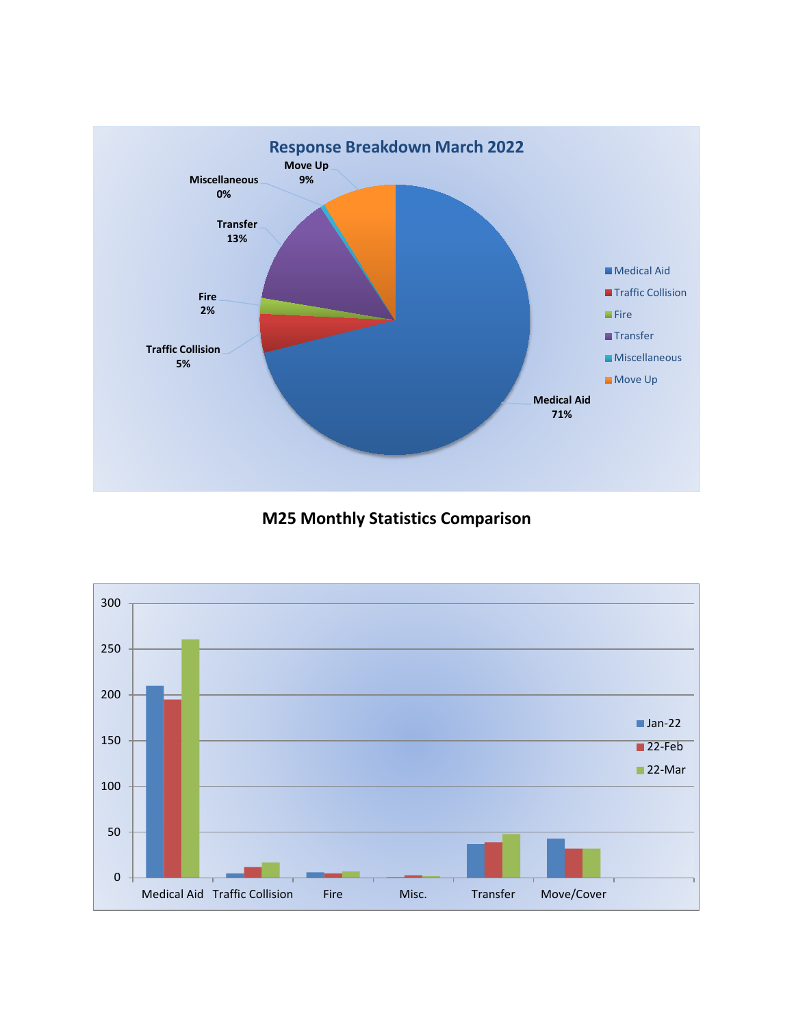

**M25 Monthly Statistics Comparison**

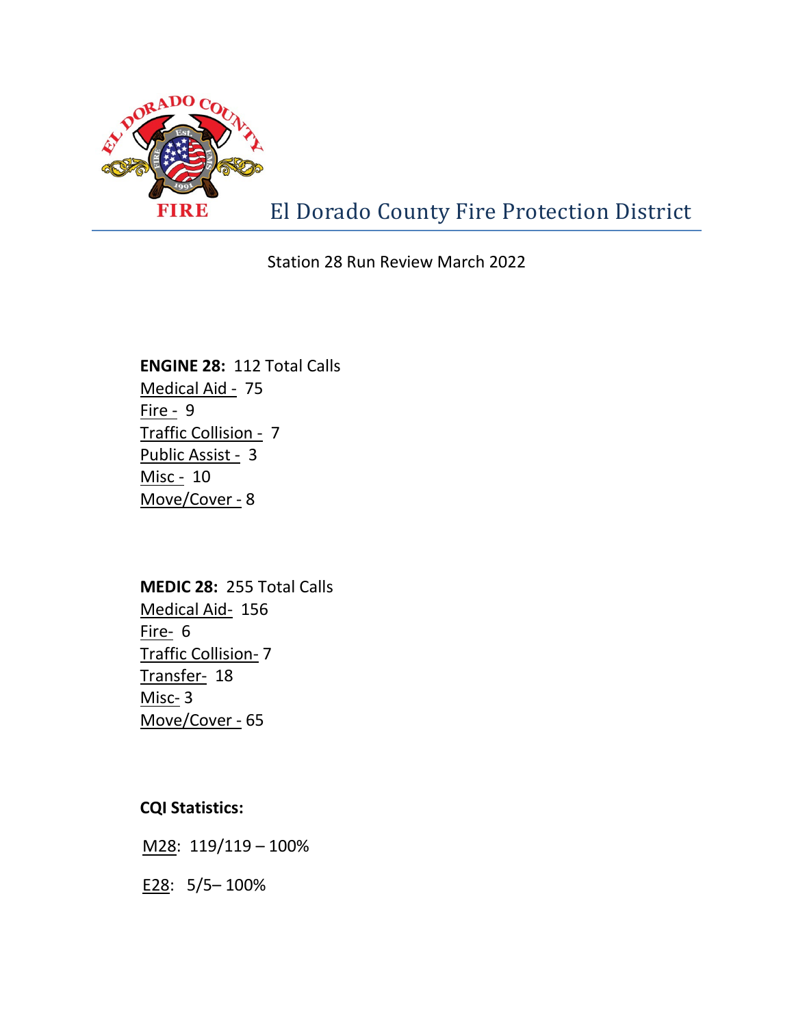

Station 28 Run Review March 2022

## **ENGINE 28:** 112 Total Calls Medical Aid - 75 Fire  $-9$ Traffic Collision - 7 Public Assist - 3 Misc - 10 Move/Cover - 8

**MEDIC 28:** 255 Total Calls Medical Aid- 156 Fire- 6 Traffic Collision- 7 Transfer- 18 Misc- 3 Move/Cover - 65

**CQI Statistics:** 

M28: 119/119 – 100%

E28: 5/5– 100%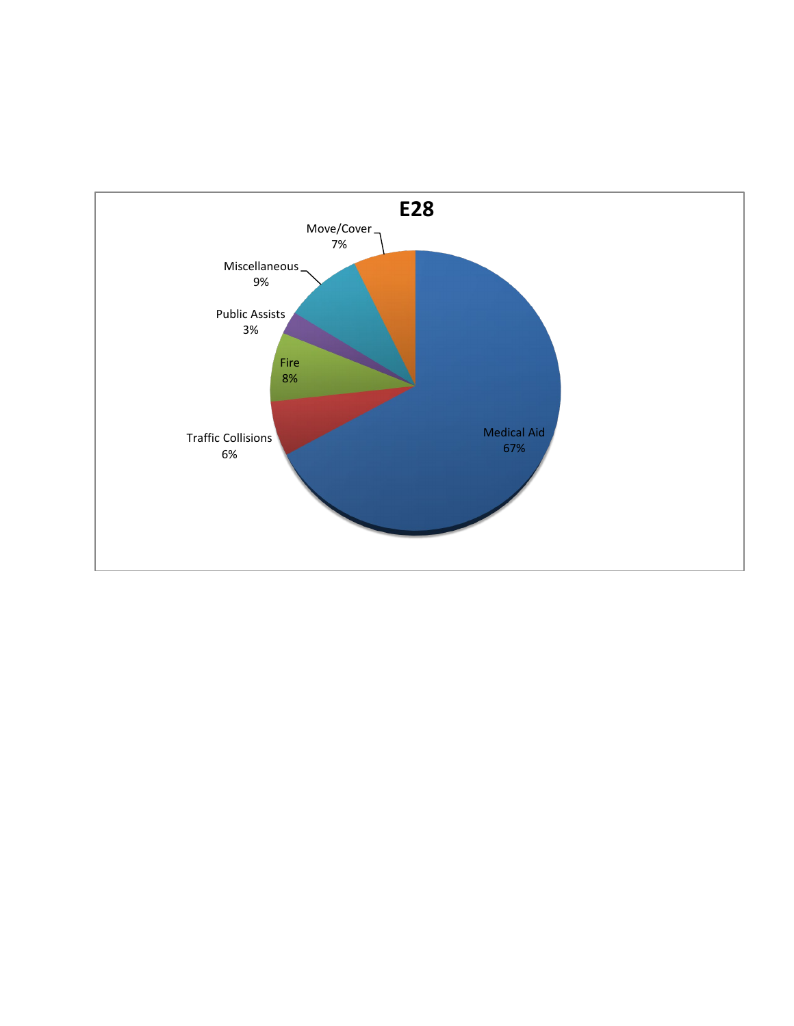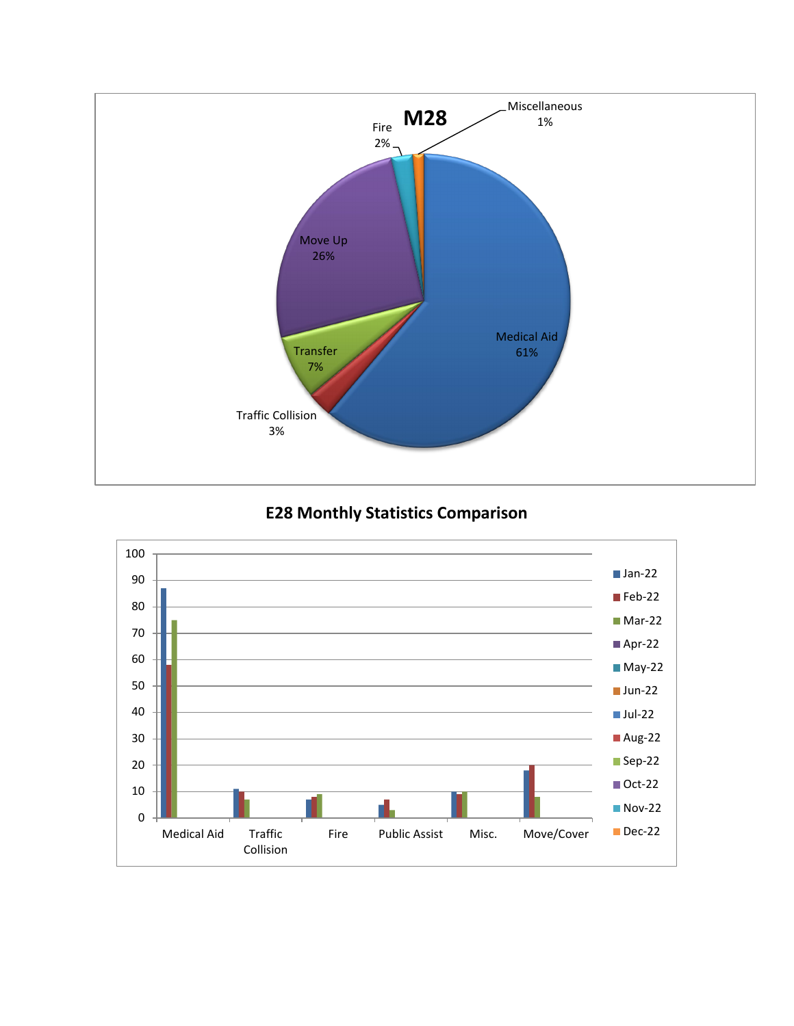

## **E28 Monthly Statistics Comparison**

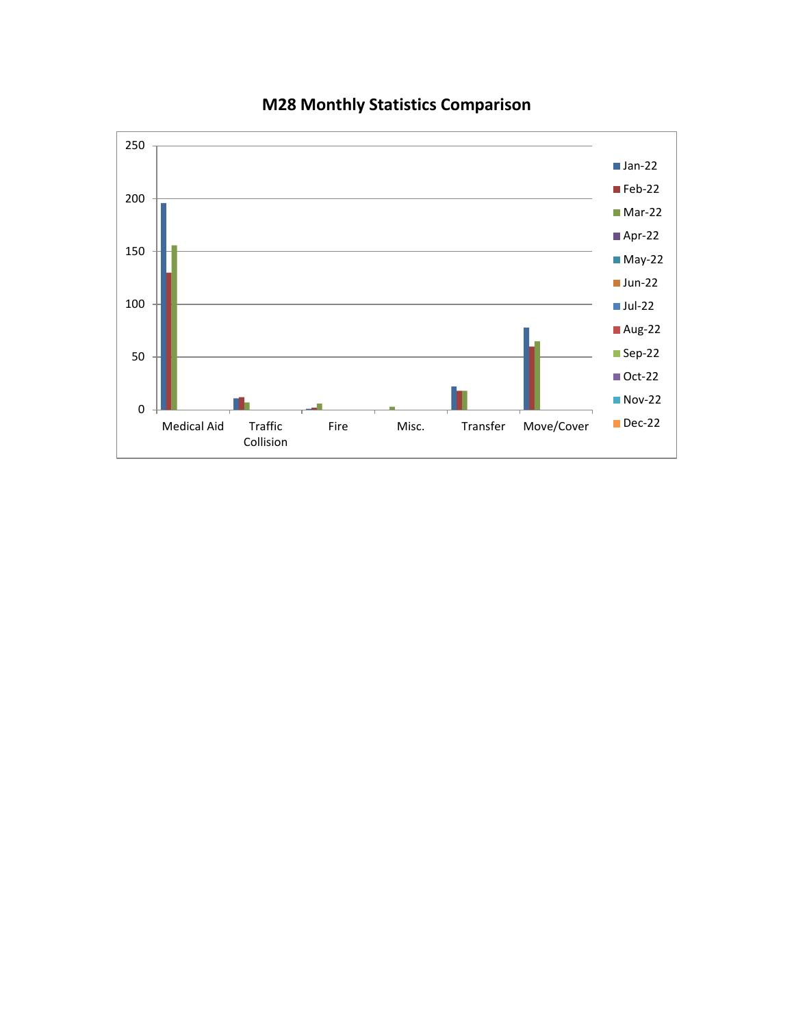

## **M28 Monthly Statistics Comparison**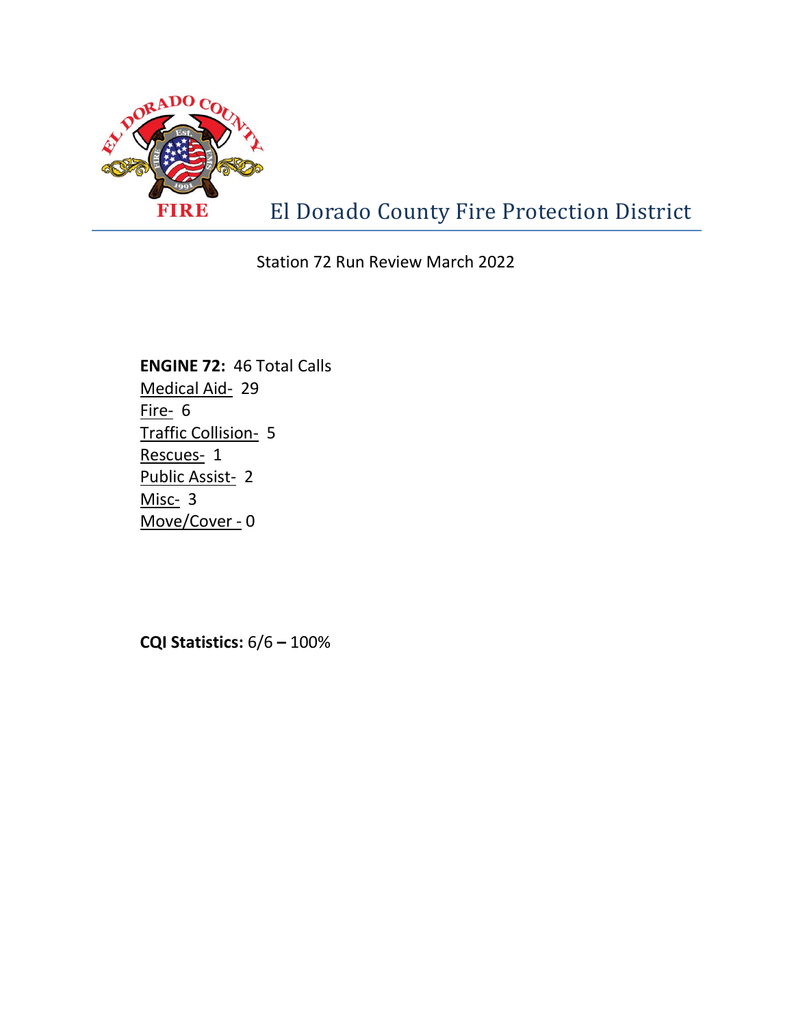

El Dorado County Fire Protection District

Station 72 Run Review March 2022

**ENGINE 72:** 46 Total Calls Medical Aid- 29 Fire- 6 Traffic Collision- 5 Rescues- 1 Public Assist- 2 Misc- 3 Move/Cover - 0

**CQI Statistics:** 6/6 **–** 100%